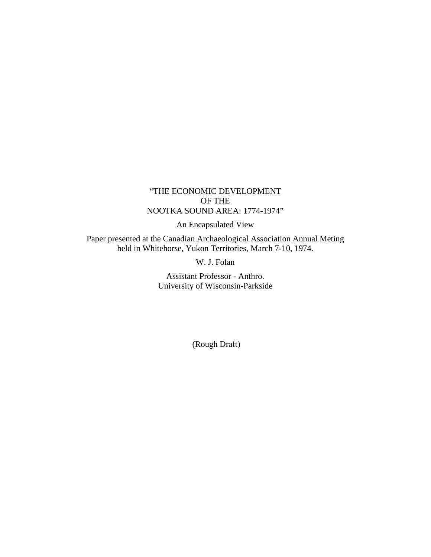## "THE ECONOMIC DEVELOPMENT OF THE NOOTKA SOUND AREA: 1774-1974"

An Encapsulated View

Paper presented at the Canadian Archaeological Association Annual Meting held in Whitehorse, Yukon Territories, March 7-10, 1974.

W. J. Folan

Assistant Professor - Anthro. University of Wisconsin-Parkside

(Rough Draft)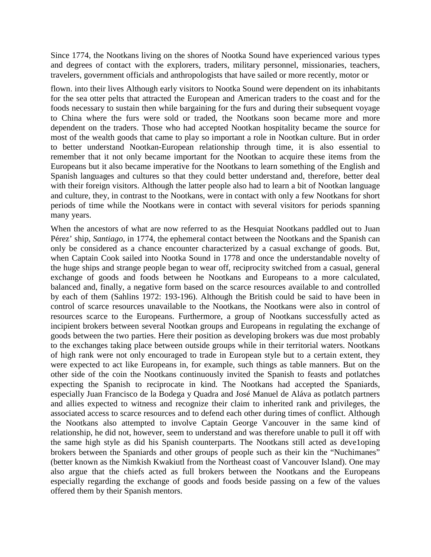Since 1774, the Nootkans living on the shores of Nootka Sound have experienced various types and degrees of contact with the explorers, traders, military personnel, missionaries, teachers, travelers, government officials and anthropologists that have sailed or more recently, motor or

flown. into their lives Although early visitors to Nootka Sound were dependent on its inhabitants for the sea otter pelts that attracted the European and American traders to the coast and for the foods necessary to sustain then while bargaining for the furs and during their subsequent voyage to China where the furs were sold or traded, the Nootkans soon became more and more dependent on the traders. Those who had accepted Nootkan hospitality became the source for most of the wealth goods that came to play so important a role in Nootkan culture. But in order to better understand Nootkan-European relationship through time, it is also essential to remember that it not only became important for the Nootkan to acquire these items from the Europeans but it also became imperative for the Nootkans to learn something of the English and Spanish languages and cultures so that they could better understand and, therefore, better deal with their foreign visitors. Although the latter people also had to learn a bit of Nootkan language and culture, they, in contrast to the Nootkans, were in contact with only a few Nootkans for short periods of time while the Nootkans were in contact with several visitors for periods spanning many years.

When the ancestors of what are now referred to as the Hesquiat Nootkans paddled out to Juan Pérez' ship, *Santiago*, in 1774, the ephemeral contact between the Nootkans and the Spanish can only be considered as a chance encounter characterized by a casual exchange of goods. But, when Captain Cook sailed into Nootka Sound in 1778 and once the understandable novelty of the huge ships and strange people began to wear off, reciprocity switched from a casual, general exchange of goods and foods between he Nootkans and Europeans to a more calculated, balanced and, finally, a negative form based on the scarce resources available to and controlled by each of them (Sahlins 1972: 193-196). Although the British could be said to have been in control of scarce resources unavailable to the Nootkans, the Nootkans were also in control of resources scarce to the Europeans. Furthermore, a group of Nootkans successfully acted as incipient brokers between several Nootkan groups and Europeans in regulating the exchange of goods between the two parties. Here their position as developing brokers was due most probably to the exchanges taking place between outside groups while in their territorial waters. Nootkans of high rank were not only encouraged to trade in European style but to a certain extent, they were expected to act like Europeans in, for example, such things as table manners. But on the other side of the coin the Nootkans continuously invited the Spanish to feasts and potlatches expecting the Spanish to reciprocate in kind. The Nootkans had accepted the Spaniards, especially Juan Francisco de la Bodega y Quadra and José Manuel de Aláva as potlatch partners and allies expected to witness and recognize their claim to inherited rank and privileges, the associated access to scarce resources and to defend each other during times of conflict. Although the Nootkans also attempted to involve Captain George Vancouver in the same kind of relationship, he did not, however, seem to understand and was therefore unable to pull it off with the same high style as did his Spanish counterparts. The Nootkans still acted as deve1oping brokers between the Spaniards and other groups of people such as their kin the "Nuchimanes" (better known as the Nimkish Kwakiutl from the Northeast coast of Vancouver Island). One may also argue that the chiefs acted as full brokers between the Nootkans and the Europeans especially regarding the exchange of goods and foods beside passing on a few of the values offered them by their Spanish mentors.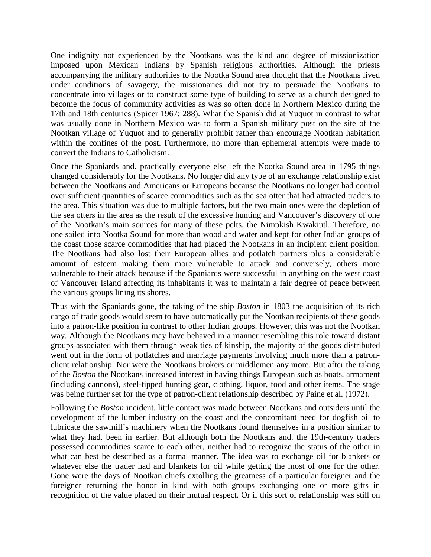One indignity not experienced by the Nootkans was the kind and degree of missionization imposed upon Mexican Indians by Spanish religious authorities. Although the priests accompanying the military authorities to the Nootka Sound area thought that the Nootkans lived under conditions of savagery, the missionaries did not try to persuade the Nootkans to concentrate into villages or to construct some type of building to serve as a church designed to become the focus of community activities as was so often done in Northern Mexico during the 17th and 18th centuries (Spicer 1967: 288). What the Spanish did at Yuquot in contrast to what was usually done in Northern Mexico was to form a Spanish military post on the site of the Nootkan village of Yuquot and to generally prohibit rather than encourage Nootkan habitation within the confines of the post. Furthermore, no more than ephemeral attempts were made to convert the Indians to Catholicism.

Once the Spaniards and. practically everyone else left the Nootka Sound area in 1795 things changed considerably for the Nootkans. No longer did any type of an exchange relationship exist between the Nootkans and Americans or Europeans because the Nootkans no longer had control over sufficient quantities of scarce commodities such as the sea otter that had attracted traders to the area. This situation was due to multiple factors, but the two main ones were the depletion of the sea otters in the area as the result of the excessive hunting and Vancouver's discovery of one of the Nootkan's main sources for many of these pelts, the Nimpkish Kwakiutl. Therefore, no one sailed into Nootka Sound for more than wood and water and kept for other Indian groups of the coast those scarce commodities that had placed the Nootkans in an incipient client position. The Nootkans had also lost their European allies and potlatch partners plus a considerable amount of esteem making them more vulnerable to attack and conversely, others more vulnerable to their attack because if the Spaniards were successful in anything on the west coast of Vancouver Island affecting its inhabitants it was to maintain a fair degree of peace between the various groups lining its shores.

Thus with the Spaniards gone, the taking of the ship *Boston* in 1803 the acquisition of its rich cargo of trade goods would seem to have automatically put the Nootkan recipients of these goods into a patron-like position in contrast to other Indian groups. However, this was not the Nootkan way. Although the Nootkans may have behaved in a manner resembling this role toward distant groups associated with them through weak ties of kinship, the majority of the goods distributed went out in the form of potlatches and marriage payments involving much more than a patronclient relationship. Nor were the Nootkans brokers or middlemen any more. But after the taking of the *Boston* the Nootkans increased interest in having things European such as boats, armament (including cannons), steel-tipped hunting gear, clothing, liquor, food and other items. The stage was being further set for the type of patron-client relationship described by Paine et al. (1972).

Following the *Boston* incident, little contact was made between Nootkans and outsiders until the development of the lumber industry on the coast and the concomitant need for dogfish oil to lubricate the sawmill's machinery when the Nootkans found themselves in a position similar to what they had. been in earlier. But although both the Nootkans and. the 19th-century traders possessed commodities scarce to each other, neither had to recognize the status of the other in what can best be described as a formal manner. The idea was to exchange oil for blankets or whatever else the trader had and blankets for oil while getting the most of one for the other. Gone were the days of Nootkan chiefs extolling the greatness of a particular foreigner and the foreigner returning the honor in kind with both groups exchanging one or more gifts in recognition of the value placed on their mutual respect. Or if this sort of relationship was still on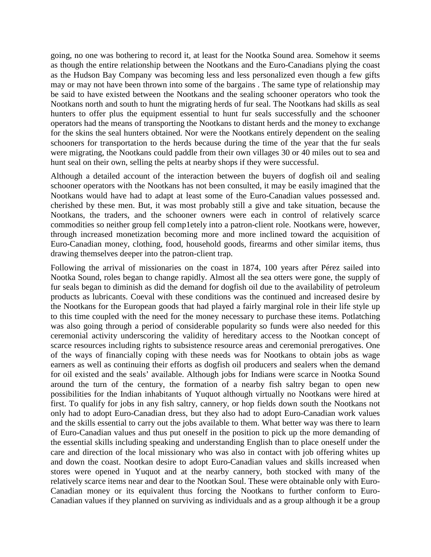going, no one was bothering to record it, at least for the Nootka Sound area. Somehow it seems as though the entire relationship between the Nootkans and the Euro-Canadians plying the coast as the Hudson Bay Company was becoming less and less personalized even though a few gifts may or may not have been thrown into some of the bargains . The same type of relationship may be said to have existed between the Nootkans and the sealing schooner operators who took the Nootkans north and south to hunt the migrating herds of fur seal. The Nootkans had skills as seal hunters to offer plus the equipment essential to hunt fur seals successfully and the schooner operators had the means of transporting the Nootkans to distant herds and the money to exchange for the skins the seal hunters obtained. Nor were the Nootkans entirely dependent on the sealing schooners for transportation to the herds because during the time of the year that the fur seals were migrating, the Nootkans could paddle from their own villages 30 or 40 miles out to sea and hunt seal on their own, selling the pelts at nearby shops if they were successful.

Although a detailed account of the interaction between the buyers of dogfish oil and sealing schooner operators with the Nootkans has not been consulted, it may be easily imagined that the Nootkans would have had to adapt at least some of the Euro-Canadian values possessed and. cherished by these men. But, it was most probably still a give and take situation, because the Nootkans, the traders, and the schooner owners were each in control of relatively scarce commodities so neither group fell comp1etely into a patron-client role. Nootkans were, however, through increased monetization becoming more and more inclined toward the acquisition of Euro-Canadian money, clothing, food, household goods, firearms and other similar items, thus drawing themselves deeper into the patron-client trap.

Following the arrival of missionaries on the coast in 1874, 100 years after Pérez sailed into Nootka Sound, roles began to change rapidly. Almost all the sea otters were gone, the supply of fur seals began to diminish as did the demand for dogfish oil due to the availability of petroleum products as lubricants. Coeval with these conditions was the continued and increased desire by the Nootkans for the European goods that had played a fairly marginal role in their life style up to this time coupled with the need for the money necessary to purchase these items. Potlatching was also going through a period of considerable popularity so funds were also needed for this ceremonial activity underscoring the validity of hereditary access to the Nootkan concept of scarce resources including rights to subsistence resource areas and ceremonial prerogatives. One of the ways of financially coping with these needs was for Nootkans to obtain jobs as wage earners as well as continuing their efforts as dogfish oil producers and sealers when the demand for oil existed and the seals' available. Although jobs for Indians were scarce in Nootka Sound around the turn of the century, the formation of a nearby fish saltry began to open new possibilities for the Indian inhabitants of Yuquot although virtually no Nootkans were hired at first. To qualify for jobs in any fish saltry, cannery, or hop fields down south the Nootkans not only had to adopt Euro-Canadian dress, but they also had to adopt Euro-Canadian work values and the skills essential to carry out the jobs available to them. What better way was there to learn of Euro-Canadian values and thus put oneself in the position to pick up the more demanding of the essential skills including speaking and understanding English than to place oneself under the care and direction of the local missionary who was also in contact with job offering whites up and down the coast. Nootkan desire to adopt Euro-Canadian values and skills increased when stores were opened in Yuquot and at the nearby cannery, both stocked with many of the relatively scarce items near and dear to the Nootkan Soul. These were obtainable only with Euro-Canadian money or its equivalent thus forcing the Nootkans to further conform to Euro-Canadian values if they planned on surviving as individuals and as a group although it be a group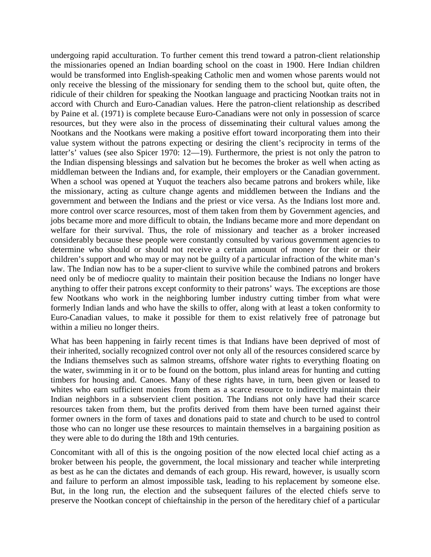undergoing rapid acculturation. To further cement this trend toward a patron-client relationship the missionaries opened an Indian boarding school on the coast in 1900. Here Indian children would be transformed into English-speaking Catholic men and women whose parents would not only receive the blessing of the missionary for sending them to the school but, quite often, the ridicule of their children for speaking the Nootkan language and practicing Nootkan traits not in accord with Church and Euro-Canadian values. Here the patron-client relationship as described by Paine et al. (1971) is complete because Euro-Canadians were not only in possession of scarce resources, but they were also in the process of disseminating their cultural values among the Nootkans and the Nootkans were making a positive effort toward incorporating them into their value system without the patrons expecting or desiring the client's reciprocity in terms of the latter's' values (see also Spicer 1970: 12—19). Furthermore, the priest is not only the patron to the Indian dispensing blessings and salvation but he becomes the broker as well when acting as middleman between the Indians and, for example, their employers or the Canadian government. When a school was opened at Yuquot the teachers also became patrons and brokers while, like the missionary, acting as culture change agents and middlemen between the Indians and the government and between the Indians and the priest or vice versa. As the Indians lost more and. more control over scarce resources, most of them taken from them by Government agencies, and jobs became more and more difficult to obtain, the Indians became more and more dependant on welfare for their survival. Thus, the role of missionary and teacher as a broker increased considerably because these people were constantly consulted by various government agencies to determine who should or should not receive a certain amount of money for their or their children's support and who may or may not be guilty of a particular infraction of the white man's law. The Indian now has to be a super-client to survive while the combined patrons and brokers need only be of mediocre quality to maintain their position because the Indians no longer have anything to offer their patrons except conformity to their patrons' ways. The exceptions are those few Nootkans who work in the neighboring lumber industry cutting timber from what were formerly Indian lands and who have the skills to offer, along with at least a token conformity to Euro-Canadian values, to make it possible for them to exist relatively free of patronage but within a milieu no longer theirs.

What has been happening in fairly recent times is that Indians have been deprived of most of their inherited, socially recognized control over not only all of the resources considered scarce by the Indians themselves such as salmon streams, offshore water rights to everything floating on the water, swimming in it or to be found on the bottom, plus inland areas for hunting and cutting timbers for housing and. Canoes. Many of these rights have, in turn, been given or leased to whites who earn sufficient monies from them as a scarce resource to indirectly maintain their Indian neighbors in a subservient client position. The Indians not only have had their scarce resources taken from them, but the profits derived from them have been turned against their former owners in the form of taxes and donations paid to state and church to be used to control those who can no longer use these resources to maintain themselves in a bargaining position as they were able to do during the 18th and 19th centuries.

Concomitant with all of this is the ongoing position of the now elected local chief acting as a broker between his people, the government, the local missionary and teacher while interpreting as best as he can the dictates and demands of each group. His reward, however, is usually scorn and failure to perform an almost impossible task, leading to his replacement by someone else. But, in the long run, the election and the subsequent failures of the elected chiefs serve to preserve the Nootkan concept of chieftainship in the person of the hereditary chief of a particular